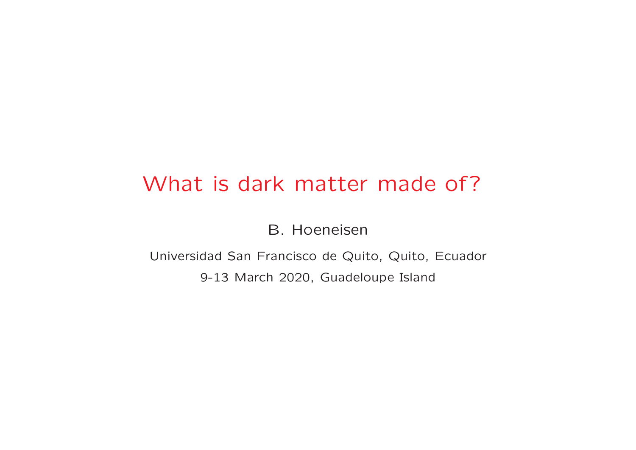## What is dark matter made of?

B. Hoeneisen

Universidad San Francisco de Quito, Quito, Ecuador 9-13 March 2020, Guadeloupe Island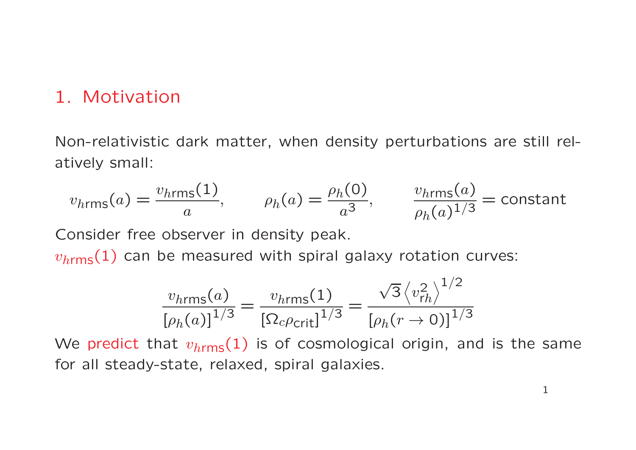#### 1. Motivation

Non-relativistic dark matter, when density perturbations are still relatively small:

$$
v_{\text{hrms}}(a) = \frac{v_{\text{hrms}}(1)}{a}, \qquad \rho_h(a) = \frac{\rho_h(0)}{a^3}, \qquad \frac{v_{\text{hrms}}(a)}{\rho_h(a)^{1/3}} = \text{constant}
$$

Consider free observer in density peak.

 $v_{h\mathsf{rms}}(1)$  can be measured with spiral galaxy rotation curves:

$$
\frac{v_{h\text{rms}}(a)}{[\rho_h(a)]^{1/3}} = \frac{v_{h\text{rms}}(1)}{[\Omega_c \rho_{\text{crit}}]^{1/3}} = \frac{\sqrt{3} \langle v_h^2 \rangle^{1/2}}{[\rho_h(r \to 0)]^{1/3}}
$$

We predict that  $v_{h \mathsf{rms}}(1)$  is of cosmological origin, and is the same for all steady-state, relaxed, spiral galaxies.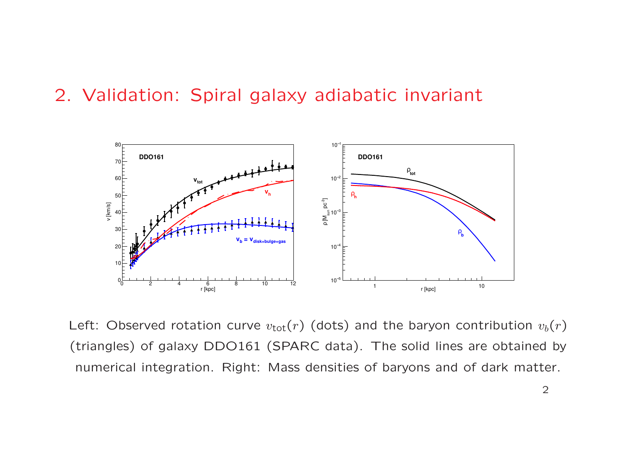#### 2. Validation: Spiral galaxy adiabatic invariant



Left: Observed rotation curve  $v_{\rm tot}(r)$  (dots) and the baryon contribution  $v_b(r)$ (triangles) of galaxy DDO161 (SPARC data). The solid lines are obtained by numerical integration. Right: Mass densities of baryons and of dark matter.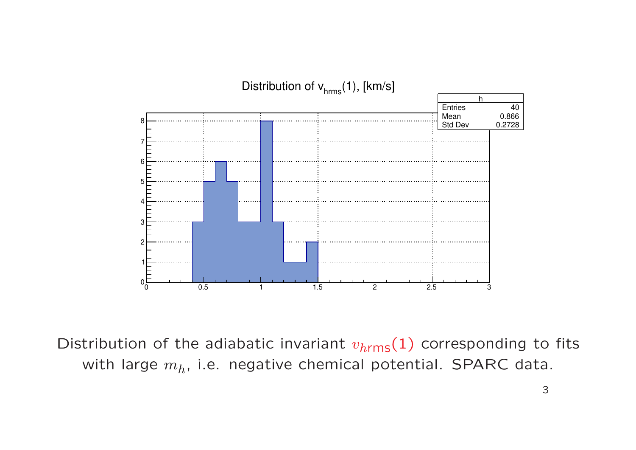

Distribution of the adiabatic invariant  $v_{\text{hrms}}(1)$  corresponding to fits with large  $m_h$ , i.e. negative chemical potential. SPARC data.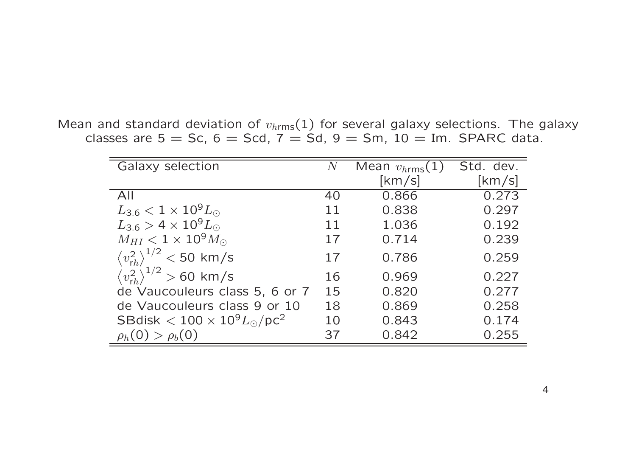Mean and standard deviation of  $v_{h \mathrm{rms}}(1)$  for several galaxy selections. The galaxy classes are  $5 =$  Sc,  $6 =$  Scd,  $7 =$  Sd,  $9 =$  Sm,  $10 =$  Im. SPARC data.

| Galaxy selection                                 | N  | Mean $v_{hrms}(1)$      | Std. dev. |
|--------------------------------------------------|----|-------------------------|-----------|
|                                                  |    | $\left[\rm km/s\right]$ | [km/s]    |
| All                                              | 40 | 0.866                   | 0.273     |
| $L_{3.6} < 1 \times 10^{9} L_{\odot}$            | 11 | 0.838                   | 0.297     |
| $L_{3.6} > 4 \times 10^9 L_{\odot}$              | 11 | 1.036                   | 0.192     |
| $M_{HI} < 1 \times 10^9 M_{\odot}$               | 17 | 0.714                   | 0.239     |
| $\langle v_{rh}^2 \rangle^{1/2}$ < 50 km/s       | 17 | 0.786                   | 0.259     |
| $\langle v_{rh}^2 \rangle^{1/2}$ > 60 km/s       | 16 | 0.969                   | 0.227     |
| de Vaucouleurs class 5, 6 or 7                   | 15 | 0.820                   | 0.277     |
| de Vaucouleurs class 9 or 10                     | 18 | 0.869                   | 0.258     |
| SBdisk $< 100 \times 10^9 L_{\odot}/\text{pc}^2$ | 10 | 0.843                   | 0.174     |
| $\rho_h(0) > \rho_b(0)$                          | 37 | 0.842                   | 0.255     |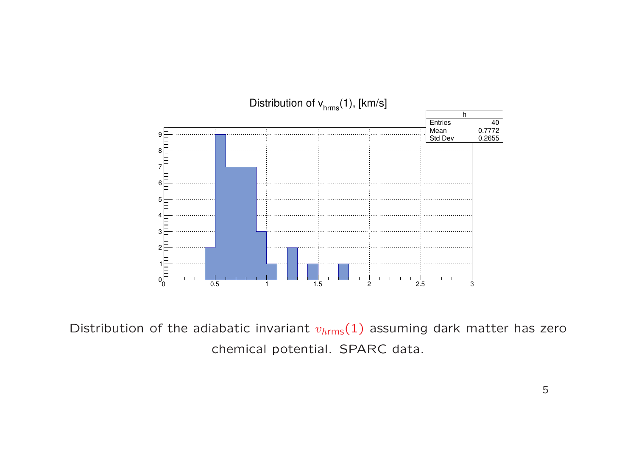

Distribution of the adiabatic invariant  $v_{hrms}(1)$  assuming dark matter has zero chemical potential. SPARC data.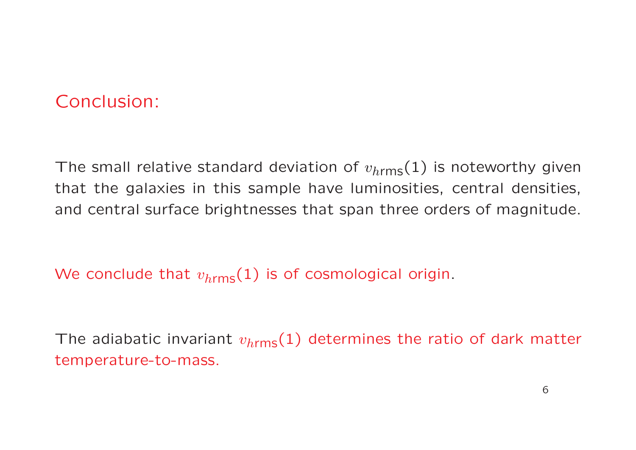## Conclusion:

The small relative standard deviation of  $v_{h \rm rms}(1)$  is noteworthy given that the galaxies in this sample have luminosities, central densities, and central surface brightnesses that span three orders of magnitude.

We conclude that  $v_{h \rm rms}(1)$  is of cosmological origin.

The adiabatic invariant  $v_{h \rm rms}(1)$  determines the ratio of dark matter temperature-to-mass.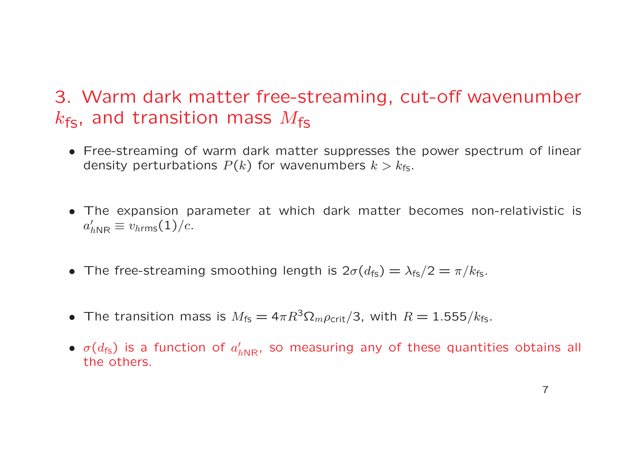## 3. Warm dark matter free-streaming, cut-off wavenumber  $k_{\mathsf{fs}},$  and transition mass  $M_{\mathsf{fs}}$

- Free-streaming of warm dark matter suppresses the power spectrum of linear density perturbations  $P(k)$  for wavenumbers  $k>k_{\mathsf{fs}}.$
- The expansion parameter at which dark matter becomes non-relativistic is  $a'_{h{\rm NR}}\equiv v_{h{\rm rms}}(1)/c.$
- The free-streaming smoothing length is  $2\sigma(d_{fs}) = \lambda_{fs}/2 = \pi/k_{fs}$ .
- The transition mass is  $M_{\text{fs}} = 4\pi R^3 \Omega_m \rho_{\text{crit}}/3$ , with  $R = 1.555/k_{\text{fs}}$ .
- $\bullet$   $\sigma(d_{\mathsf{fs}})$  is a function of  $a'_{h\mathsf{NR}}$ , so measuring any of these quantities obtains all the others.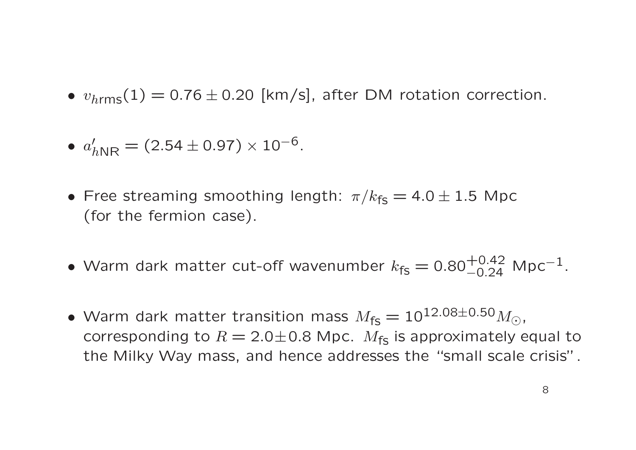•  $v_{\text{hrms}}(1) = 0.76 \pm 0.20$  [km/s], after DM rotation correction.

• 
$$
a'_{h\rm NR} = (2.54 \pm 0.97) \times 10^{-6}
$$
.

- Free streaming smoothing length:  $\pi/k_{\text{fs}} = 4.0 \pm 1.5$  Mpc (for the fermion case).
- Warm dark matter cut-off wavenumber  $k_{fs} = 0.80^{+0.42}_{-0.24}$  Mpc<sup>-1</sup>.
- Warm dark matter transition mass  $M_{fs} = 10^{12.08 \pm 0.50} M_{\odot}$ , corresponding to  $R = 2.0 \pm 0.8$  Mpc.  $M_{fs}$  is approximately equal to the Milky Way mass, and hence addresses the "small scale crisis".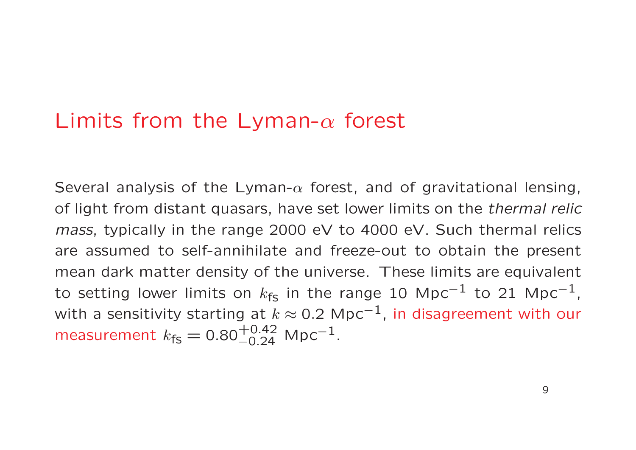# Limits from the Lyman- $\alpha$  forest

Several analysis of the Lyman- $\alpha$  forest, and of gravitational lensing, of light from distant quasars, have set lower limits on the thermal relic mass, typically in the range 2000 eV to 4000 eV. Such thermal relics are assumed to self-annihilate and freeze-out to obtain the present mean dark matter density of the universe. These limits are equivalent to setting lower limits on  $k_{\mathsf{fs}}$  in the range 10 Mpc $^{-1}$  to 21 Mpc $^{-1}$ , with a sensitivity starting at  $k\approx$  0.2 Mpc $^{-1}$ , in disagreement with our measurement  $k_{\mathsf{fs}} = \text{0.80}^{+\text{0.42}}_{-\text{0.24}}$  Mpc $^{-1}$ .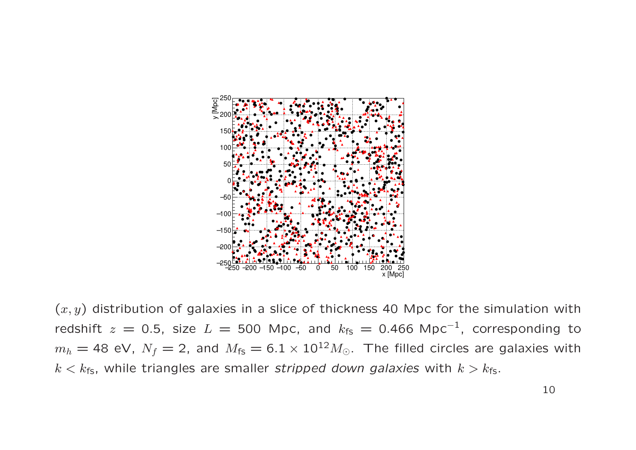

 $(x, y)$  distribution of galaxies in a slice of thickness 40 Mpc for the simulation with redshift  $z = 0.5$ , size  $L = 500$  Mpc, and  $k_{fs} = 0.466$  Mpc<sup>-1</sup>, corresponding to  $m_h = 48$  eV,  $N_f = 2$ , and  $M_{fs} = 6.1 \times 10^{12} M_{\odot}$ . The filled circles are galaxies with  $k < k_{fs}$ , while triangles are smaller stripped down galaxies with  $k > k_{fs}$ .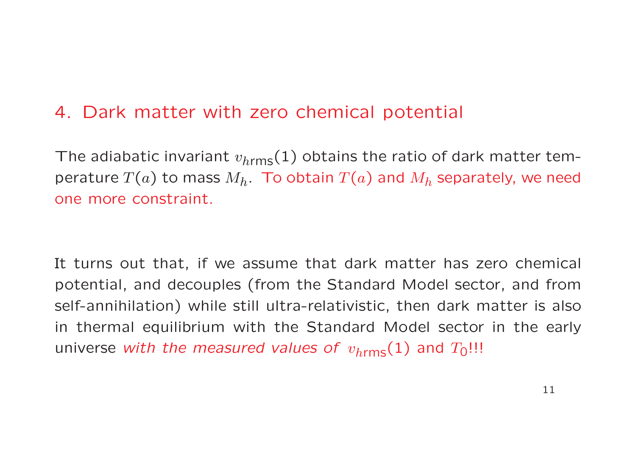## 4. Dark matter with zero chemical potential

The adiabatic invariant  $v_{h \rm rms}(1)$  obtains the ratio of dark matter temperature  $T(a)$  to mass  $M_h.$  To obtain  $T(a)$  and  $M_h$  separately, we need one more constraint.

It turns out that, if we assume that dark matter has zero chemical potential, and decouples (from the Standard Model sector, and from self-annihilation) while still ultra-relativistic, then dark matter is also in thermal equilibrium with the Standard Model sector in the early universe *with the measured values of*  $\,v_{h\rm rms}(1)$  and  $T_{\rm 0}$ !!!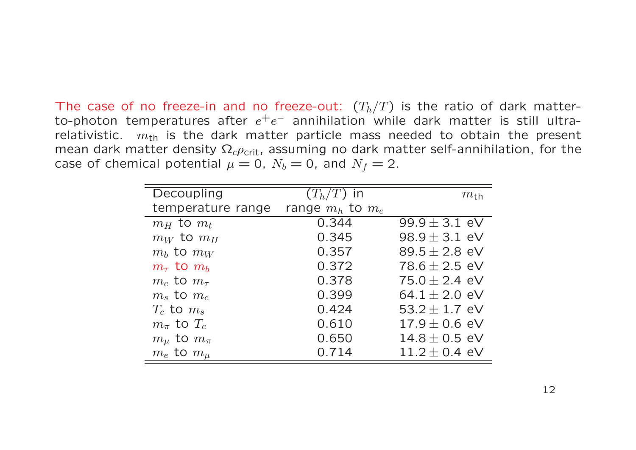The case of no freeze-in and no freeze-out:  $(T_h/T)$  is the ratio of dark matterto-photon temperatures after  $e^+e^-$  annihilation while dark matter is still ultrarelativistic.  $m_{\text{th}}$  is the dark matter particle mass needed to obtain the present mean dark matter density  $\Omega_c \rho_{\text{crit}}$ , assuming no dark matter self-annihilation, for the case of chemical potential  $\mu=0,~N_b=0,$  and  $N_f=2.$ 

| Decoupling             | $(T_h/T)$ in         | $m_{\rm th}$      |
|------------------------|----------------------|-------------------|
| temperature range      | range $m_h$ to $m_e$ |                   |
| $m_H$ to $m_t$         | 0.344                | $99.9 \pm 3.1$ eV |
| $m_W$ to $m_H$         | 0.345                | $98.9 \pm 3.1$ eV |
| $m_b$ to $m_W$         | 0.357                | $89.5 \pm 2.8$ eV |
| $m_{\tau}$ to $m_b$    | 0.372                | $78.6 \pm 2.5$ eV |
| $m_c$ to $m_{\tau}$    | 0.378                | $75.0 \pm 2.4$ eV |
| $m_s$ to $m_c$         | 0.399                | 64.1 $\pm$ 2.0 eV |
| $T_c$ to $m_s$         | 0.424                | 53.2 $\pm$ 1.7 eV |
| $m_{\pi}$ to $T_c$     | 0.610                | $17.9 \pm 0.6$ eV |
| $m_{\mu}$ to $m_{\pi}$ | 0.650                | $14.8 \pm 0.5$ eV |
| $m_e$ to $m_\mu$       | 0.714                | $11.2 \pm 0.4$ eV |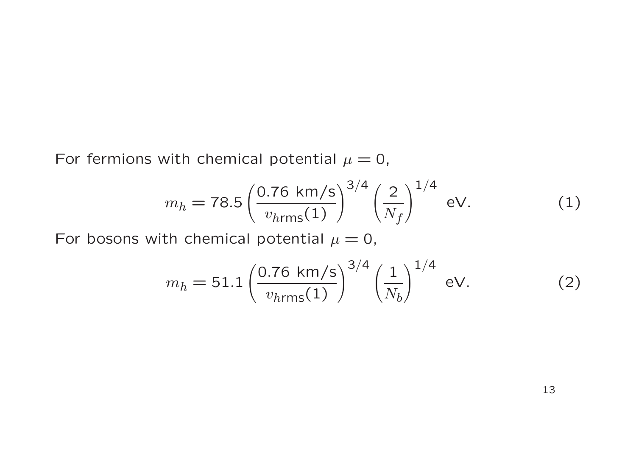For fermions with chemical potential  $\mu=0,$ 

$$
m_h = 78.5 \left(\frac{0.76 \text{ km/s}}{v_{h\text{rms}}(1)}\right)^{3/4} \left(\frac{2}{N_f}\right)^{1/4} \text{ eV}.
$$
 (1)

For bosons with chemical potential  $\mu=0,$ 

$$
m_h = 51.1 \left( \frac{0.76 \text{ km/s}}{v_{hrms}(1)} \right)^{3/4} \left( \frac{1}{N_b} \right)^{1/4} \text{ eV.}
$$
 (2)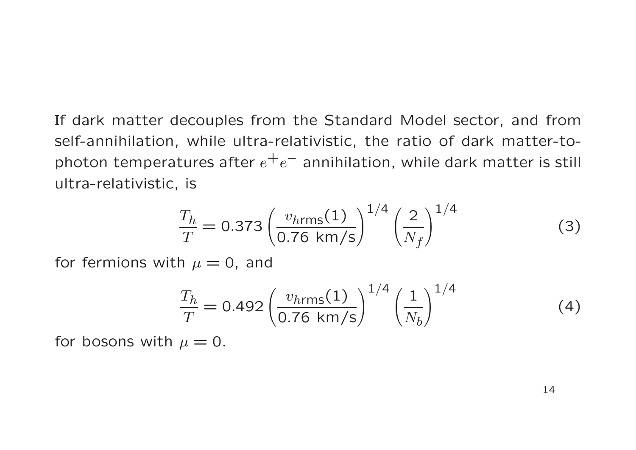If dark matter decouples from the Standard Model sector, and from self-annihilation, while ultra-relativistic, the ratio of dark matter-tophoton temperatures after  $e^+e^-$  annihilation, while dark matter is still ultra-relativistic, is

$$
\frac{T_h}{T} = 0.373 \left( \frac{v_{hrms}(1)}{0.76 \text{ km/s}} \right)^{1/4} \left( \frac{2}{N_f} \right)^{1/4} \tag{3}
$$

for fermions with  $\mu=0$ , and

$$
\frac{T_h}{T} = 0.492 \left( \frac{v_{hrms}(1)}{0.76 \text{ km/s}} \right)^{1/4} \left( \frac{1}{N_b} \right)^{1/4} \tag{4}
$$

for bosons with  $\mu=0.$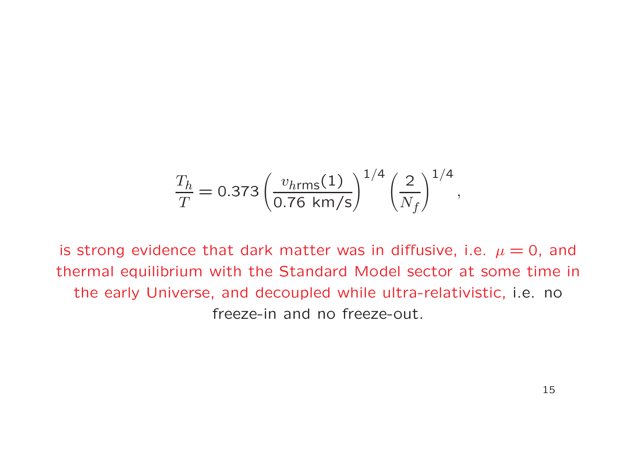$$
\frac{T_h}{T} = 0.373 \left( \frac{v_{hrms}(1)}{0.76 \text{ km/s}} \right)^{1/4} \left( \frac{2}{N_f} \right)^{1/4},
$$

is strong evidence that dark matter was in diffusive, i.e.  $\mu = 0$ , and thermal equilibrium with the Standard Model sector at some time in the early Universe, and decoupled while ultra-relativistic, i.e. no freeze-in and no freeze-out.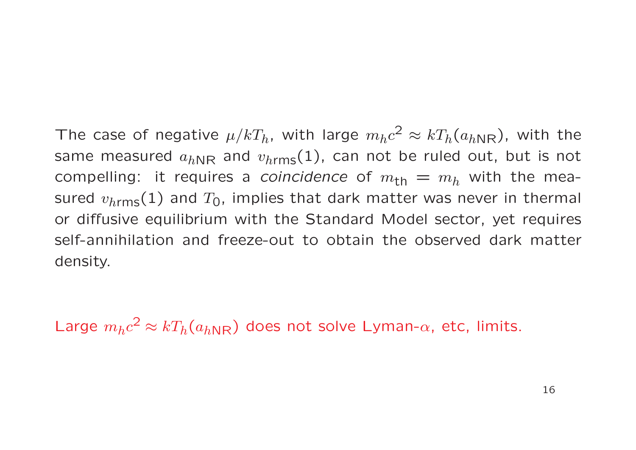The case of negative  $\mu/kT_h$ , with large  $m_h c^2 \approx kT_h(a_{hNR})$ , with the same measured  $a_{hNR}$  and  $v_{hrms}(1)$ , can not be ruled out, but is not compelling: it requires a *coincidence* of  $m_{th} = m_h$  with the measured  $v_{\text{hrms}}(1)$  and  $T_0$ , implies that dark matter was never in thermal or diffusive equilibrium with the Standard Model sector, yet requires self-annihilation and freeze-out to obtain the observed dark matter density.

Large  $m_h c^2 \approx kT_h(a_{hNR})$  does not solve Lyman- $\alpha$ , etc, limits.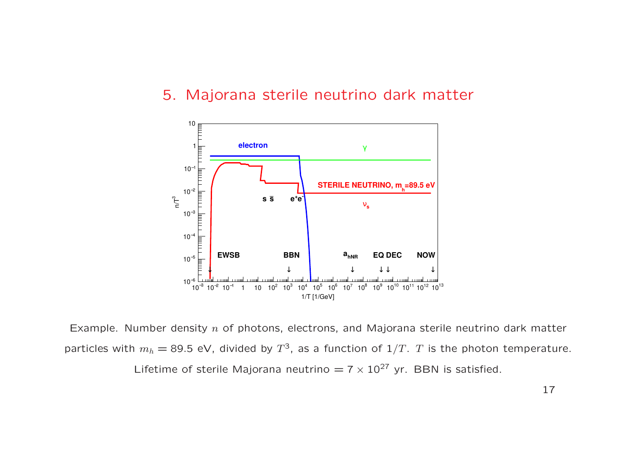#### 5. Majorana sterile neutrino dark matter



Example. Number density  $n$  of photons, electrons, and Majorana sterile neutrino dark matter particles with  $m_h =$  89.5 eV, divided by  $T^3$ , as a function of  $1/T$ .  $T$  is the photon temperature. Lifetime of sterile Majorana neutrino  $= 7 \times 10^{27}$  yr. BBN is satisfied.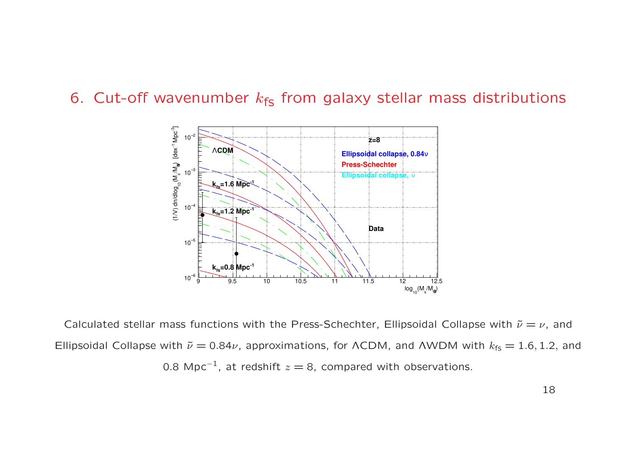6. Cut-off wavenumber  $k_{fs}$  from galaxy stellar mass distributions



Calculated stellar mass functions with the Press-Schechter, Ellipsoidal Collapse with  $\tilde{\nu} = \nu$ , and Ellipsoidal Collapse with  $\tilde{\nu} = 0.84\nu$ , approximations, for ΛCDM, and ΛWDM with  $k_{fs} = 1.6, 1.2,$  and 0.8 Mpc<sup>-1</sup>, at redshift  $z = 8$ , compared with observations.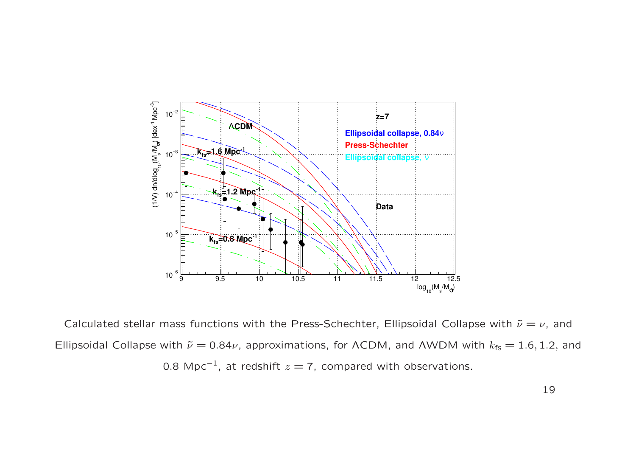

Calculated stellar mass functions with the Press-Schechter, Ellipsoidal Collapse with  $\tilde{\nu} = \nu$ , and Ellipsoidal Collapse with  $\tilde{\nu}=0.84\nu$ , approximations, for <code>ACDM</code>, and <code>AWDM</code> with  $k_{\sf fs}=1.6, 1.2,$  and 0.8 Mpc $^{-1}$ , at redshift  $z=$  7, compared with observations.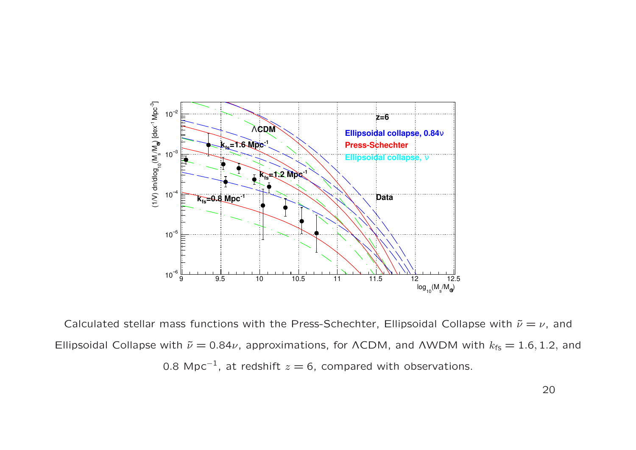

Calculated stellar mass functions with the Press-Schechter, Ellipsoidal Collapse with  $\tilde{\nu} = \nu$ , and Ellipsoidal Collapse with  $\tilde{\nu}=0.84\nu$ , approximations, for <code>ACDM</code>, and <code>AWDM</code> with  $k_{\sf fs}=1.6, 1.2,$  and 0.8 Mpc $^{\rm -1}$ , at redshift  $z=6$ , compared with observations.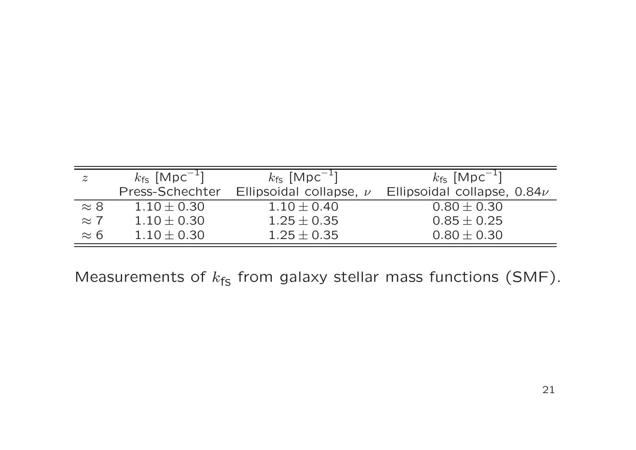| $\boldsymbol{z}$ | $k_{fs}$ [Mpc <sup>-1</sup> ] | $k_{fs}$ [Mpc <sup>-1</sup> ] | $k_{fs}$ [Mpc <sup>-1</sup> ]   |
|------------------|-------------------------------|-------------------------------|---------------------------------|
|                  | Press-Schechter               | Ellipsoidal collapse, $\nu$   | Ellipsoidal collapse, $0.84\nu$ |
| $\approx 8$      | $1.10 \pm 0.30$               | $1.10 \pm 0.40$               | $0.80 \pm 0.30$                 |
| $\approx 7$      | $1.10 \pm 0.30$               | $1.25 \pm 0.35$               | $0.85 \pm 0.25$                 |
| $\approx 6$      | $1.10 \pm 0.30$               | $1.25 \pm 0.35$               | $0.80 \pm 0.30$                 |

Measurements of  $k_{fs}$  from galaxy stellar mass functions (SMF).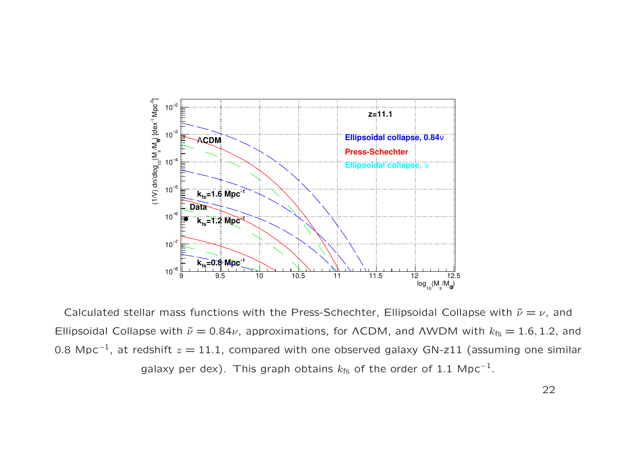

Calculated stellar mass functions with the Press-Schechter, Ellipsoidal Collapse with  $\tilde{\nu} = \nu$ , and Ellipsoidal Collapse with  $\tilde{\nu}=0.84\nu$ , approximations, for <code>ACDM</code>, and <code>AWDM</code> with  $k_{\sf fs}=1.6, 1.2,$  and 0.8 Mpc $^{\rm -1}$ , at redshift  $z=11.1$ , compared with one observed galaxy GN-z11 (assuming one similar galaxy per dex). This graph obtains  $k_{\mathsf{fs}}$  of the order of 1.1 Mpc $^{-1}.$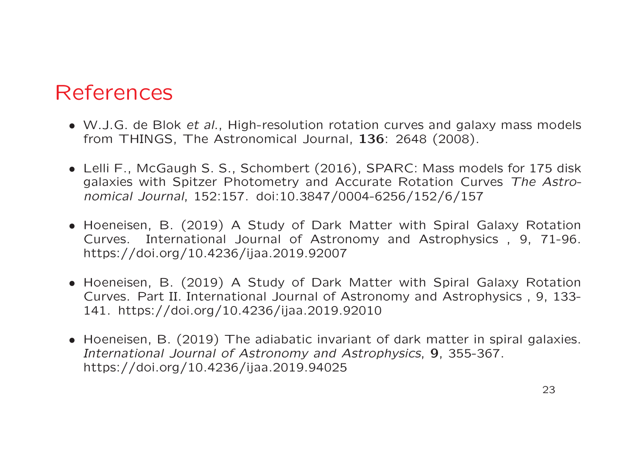## References

- W.J.G. de Blok et al., High-resolution rotation curves and galaxy mass models from THINGS, The Astronomical Journal, 136: 2648 (2008).
- Lelli F., McGaugh S. S., Schombert (2016), SPARC: Mass models for 175 disk galaxies with Spitzer Photometry and Accurate Rotation Curves The Astronomical Journal, 152:157. doi:10.3847/0004-6256/152/6/157
- Hoeneisen, B. (2019) A Study of Dark Matter with Spiral Galaxy Rotation Curves. International Journal of Astronomy and Astrophysics , 9, 71-96. https://doi.org/10.4236/ijaa.2019.92007
- Hoeneisen, B. (2019) A Study of Dark Matter with Spiral Galaxy Rotation Curves. Part II. International Journal of Astronomy and Astrophysics , 9, 133- 141. https://doi.org/10.4236/ijaa.2019.92010
- Hoeneisen, B. (2019) The adiabatic invariant of dark matter in spiral galaxies. International Journal of Astronomy and Astrophysics, 9, 355-367. https://doi.org/10.4236/ijaa.2019.94025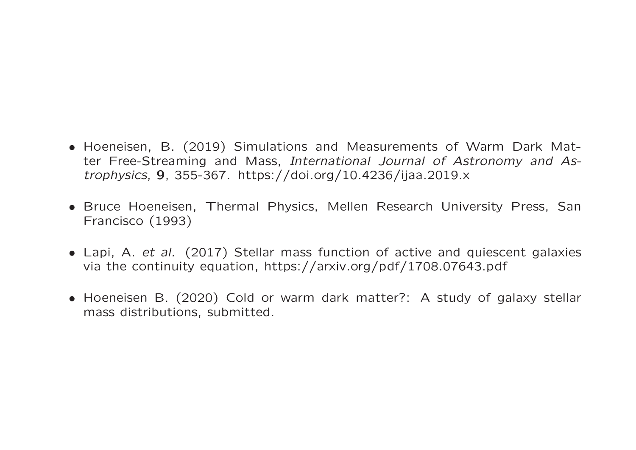- Hoeneisen, B. (2019) Simulations and Measurements of Warm Dark Matter Free-Streaming and Mass, International Journal of Astronomy and Astrophysics, 9, 355-367. https://doi.org/10.4236/ijaa.2019.x
- Bruce Hoeneisen, Thermal Physics, Mellen Research University Press, San Francisco (1993)
- Lapi, A. et al. (2017) Stellar mass function of active and quiescent galaxies via the continuity equation, https://arxiv.org/pdf/1708.07643.pdf
- Hoeneisen B. (2020) Cold or warm dark matter?: A study of galaxy stellar mass distributions, submitted.